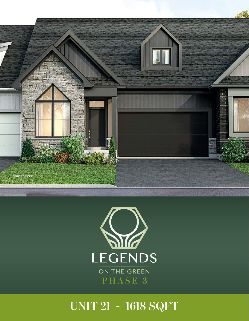



# **UNIT 21 - 1618 SQFT**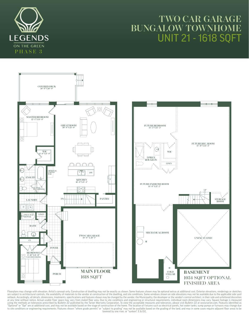## **TWO CAR GARAGE BUNGALOW TOWNHO** UNIT 21 - 1618 SQFT





Floorplans may change with elevation. Artist's concept only. Construction of dwelling may not be exactly as shown. Some features shown may be optional extras at additional cost. Exterior elevations, renderings or sketches<br> setback. Accordingly, all details, dimensions, treatments, specifications and features shown may be changed by the vendor, the Municipality, the developer or the vendor's control architect, in their sole and unfettered dis "Optional" or "Opt" are at additional cost, and may not be available based on the stage of construction of the home. The location of fixtures such as electrical panels, hot water tanks, sump pumps or furnaces may change du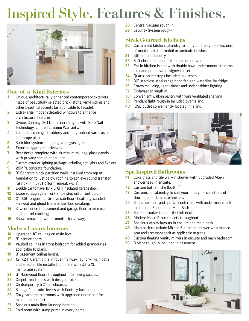# Inspired Style. **Features & Finishes.**



#### **One-of-a-Kind Exteriors**

- Unique, architecturally enhanced contemporary exteriors made of beautifully selected brick, stone, vinyl siding, and other beautiful accents (as applicable to facade).
- Extra-large, modern detailed windows to enhance architectural features.
- Owens Corning TRU Definition shingles with Sure Nail Technology. Limited Lifetime Warranty.
- Lush landscaping, shrubbery and fully sodded yards as per landscape plan.
- Sprinkler system keeping your grass green!
- Exposed aggregate driveway.
- Rear decks complete with aluminum railings, glass panels with privacy screen at one end.
- Custom exterior lighting package including pot lights and fixtures.
- 20MPa concrete foundation.
- 8" Concrete block partition walls installed from top of foundation to just below roofline to achieve sound transfer rating - min 57STR (for firebreak walls).
- Double car to have 16' x 8' CHI insulated garage door.
- Exposed aggregate front entry step onto front porch.
- ¾" OSB Tongue and Groove sub-floor sheathing, sanded, screwed and glued to minimize floor creaking.
- Sawcut concrete basement and garage floor to minimize and control cracking.
- Snow removal in winter months (driveway).

#### **Modern Luxury Interiors**

- Upgraded 10' ceilings on main level.
- 8' interior doors.
- Vaulted ceilings in front bedroom for added grandeur as applicable to plans.
- 8' basement ceiling height.
- 12" x24" Ceramic tile in foyer, hallway, laundry, main bath and ensuite. Tile installed complete with Ditra XL membrane system.
- 6'' Hardwood floors throughout main living spaces.
- Carpet tread stairs with designer pickets.
- Contemporary 5 ½" baseboards.
- Schlage "Latitude" levers with Century backplate.
- Cozy carpeted bedrooms with upgraded under pad for maximum comfort.
- Spacious main floor laundry location.
- 27 Cold room with sump pump in every home.
- Central vacuum rough-in.
- Security System rough-in.

#### **Sleek Gourmet Kitchens**

- Customized kitchen cabinetry to suit your lifestyle selections of maple, oak, thermofoil or laminate finishes.
- 46" upper cabinetry
- Soft close doors and full extension drawers.
- Eat-in kitchen island with double bowl under mount stainless sink and pull-down designer faucet.
- Quartz countertops included in kitchen.
- 30" stainless steel range hood fan and waterline for fridge.
- Crown moulding, light valance and under-cabinet lighting.
- Dishwasher rough-in.
- Convenient walk-in pantry with wire ventilated shelving
- Pendant light rough-in included over island.
- USB outlet conveniently located in Island.



#### **Spa Inspired Bathrooms**

- Luxe glass and tile walk-in shower with upgraded Moen showerhead in ensuite.
- Custom bottle niche (built in).
- Customized cabinetry to suit your lifestyle selections of thermofoil or laminate finishes.
- Soft close doors and quartz countertops with under mount sink included in Ensuite and Main Bath.
- Spa-like soaker tub on tiled tub deck.
- Modern Moen Rizon faucets throughout.
- Spacious vanity layouts in ensuite and main bath.
- Main bath to include Mirolin 5' tub and shower with molded seat and accessory shelf as applicable to plans.
- Custom floating vanity mirrors in ensuite and main bathroom.
- 3 piece rough-in included in basement.